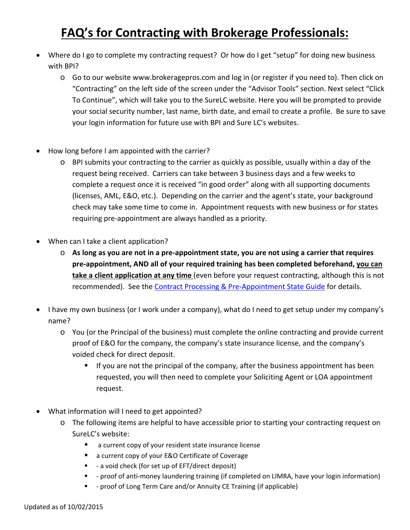## **FAQ's for Contracting with Brokerage Professionals:**

- Where do I go to complete my contracting request? Or how do I get "setup" for doing new business with BPI?
	- o Go to our website www.brokeragepros.com and log in (or register if you need to). Then click on "Contracting" on the left side of the screen under the "Advisor Tools" section. Next select "Click To Continue", which will take you to the SureLC website. Here you will be prompted to provide your social security number, last name, birth date, and email to create a profile. Be sure to save your login information for future use with BPI and Sure LC's websites.
- How long before I am appointed with the carrier?
	- o BPI submits your contracting to the carrier as quickly as possible, usually within a day of the request being received. Carriers can take between 3 business days and a few weeks to complete a request once it is received "in good order" along with all supporting documents (licenses, AML, E&O, etc.). Depending on the carrier and the agent's state, your background check may take some time to come in. Appointment requests with new business or for states requiring pre‐appointment are always handled as a priority.
- When can I take a client application?
	- $\circ$  As long as you are not in a pre-appointment state, you are not using a carrier that requires **pre‐appointment, AND all of your required training has been completed beforehand, you can take a client application at any time** (even before your request contracting, although this is not recommended). See the Contract Processing & Pre-Appointment State Guide for details.
- I have my own business (or I work under a company), what do I need to get setup under my company's name?
	- o You (or the Principal of the business) must complete the online contracting and provide current proof of E&O for the company, the company's state insurance license, and the company's voided check for direct deposit.
		- **If you are not the principal of the company, after the business appointment has been** requested, you will then need to complete your Soliciting Agent or LOA appointment request.
- What information will I need to get appointed?
	- o The following items are helpful to have accessible prior to starting your contracting request on SureLC's website:
		- a current copy of your resident state insurance license
		- a current copy of your E&O Certificate of Coverage
		- - a void check (for set up of EFT/direct deposit)
		- - proof of anti-money laundering training (if completed on LIMRA, have your login information)
		- - proof of Long Term Care and/or Annuity CE Training (if applicable)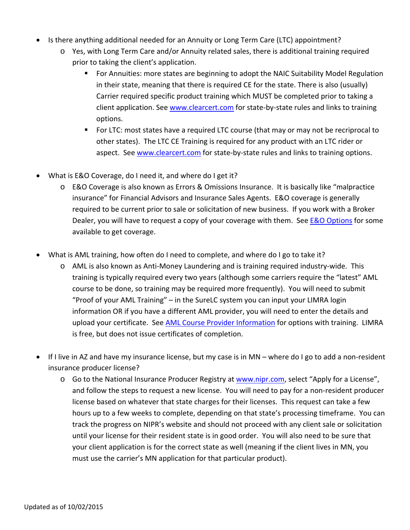- Is there anything additional needed for an Annuity or Long Term Care (LTC) appointment?
	- o Yes, with Long Term Care and/or Annuity related sales, there is additional training required prior to taking the client's application.
		- For Annuities: more states are beginning to adopt the NAIC Suitability Model Regulation in their state, meaning that there is required CE for the state. There is also (usually) Carrier required specific product training which MUST be completed prior to taking a client application. See www.clearcert.com for state‐by‐state rules and links to training options.
		- For LTC: most states have a required LTC course (that may or may not be recriprocal to other states). The LTC CE Training is required for any product with an LTC rider or aspect. See www.clearcert.com for state-by-state rules and links to training options.
- What is E&O Coverage, do I need it, and where do I get it?
	- o E&O Coverage is also known as Errors & Omissions Insurance. It is basically like "malpractice insurance" for Financial Advisors and Insurance Sales Agents. E&O coverage is generally required to be current prior to sale or solicitation of new business. If you work with a Broker Dealer, you will have to request a copy of your coverage with them. See **E&O Options** for some available to get coverage.
- What is AML training, how often do I need to complete, and where do I go to take it?
	- o AML is also known as Anti‐Money Laundering and is training required industry‐wide. This training is typically required every two years (although some carriers require the "latest" AML course to be done, so training may be required more frequently). You will need to submit "Proof of your AML Training" – in the SureLC system you can input your LIMRA login information OR if you have a different AML provider, you will need to enter the details and upload your certificate. See AML Course Provider Information for options with training. LIMRA is free, but does not issue certificates of completion.
- If I live in AZ and have my insurance license, but my case is in MN where do I go to add a non-resident insurance producer license?
	- o Go to the National Insurance Producer Registry at www.nipr.com, select "Apply for a License", and follow the steps to request a new license. You will need to pay for a non-resident producer license based on whatever that state charges for their licenses. This request can take a few hours up to a few weeks to complete, depending on that state's processing timeframe. You can track the progress on NIPR's website and should not proceed with any client sale or solicitation until your license for their resident state is in good order. You will also need to be sure that your client application is for the correct state as well (meaning if the client lives in MN, you must use the carrier's MN application for that particular product).